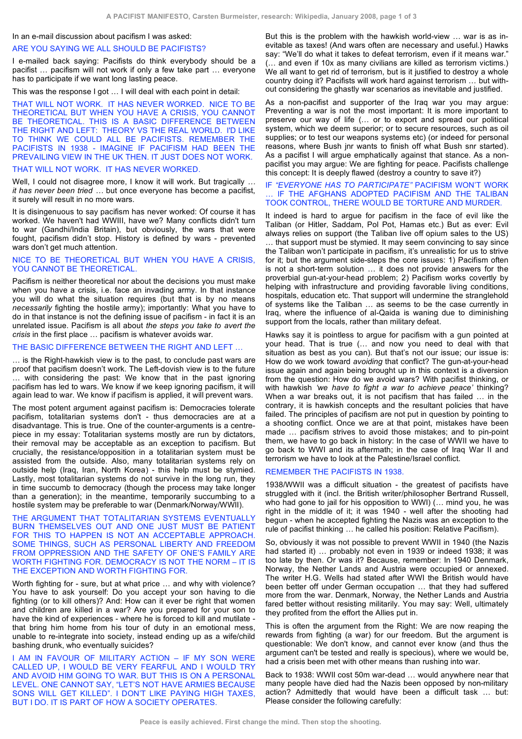#### In an e-mail discussion about pacifism I was asked:

# ARE YOU SAYING WE ALL SHOULD BE PACIFISTS?

I e-mailed back saying: Pacifists do think everybody should be a pacifist … pacifism will not work if only a few take part … everyone has to participate if we want long lasting peace.

This was the response I got … I will deal with each point in detail:

THAT WILL NOT WORK. IT HAS NEVER WORKED. NICE TO BE THEORETICAL BUT WHEN YOU HAVE A CRISIS, YOU CANNOT BE THEORETICAL. THIS IS A BASIC DIFFERENCE BETWEEN THE RIGHT AND LEFT: THEORY VS THE REAL WORLD. I'D LIKE TO THINK WE COULD ALL BE PACIFISTS. REMEMBER THE PACIFISTS IN 1938 - IMAGINE IF PACIFISM HAD BEEN THE PREVAILING VIEW IN THE UK THEN. IT JUST DOES NOT WORK.

## THAT WILL NOT WORK. IT HAS NEVER WORKED.

Well, I could not disagree more, I know it will work. But tragically *… it has never been tried …* but once everyone has become a pacifist, it surely will result in no more wars.

It is disingenuous to say pacifism has never worked: Of course it has worked. We haven't had WWIII, have we? Many conflicts didn't turn to war (Gandhi/India Britain), but obviously, the wars that were fought, pacifism didn't stop. History is defined by wars - prevented wars don't get much attention.

## NICE TO BE THEORETICAL BUT WHEN YOU HAVE A CRISIS, YOU CANNOT BE THEORETICAL.

Pacifism is neither theoretical nor about the decisions you must make when you have a crisis, i.e. face an invading army. In that instance you will do what the situation requires (but that is by no means *necessarily* fighting the hostile army); importantly: What you have to do in that instance is not the defining issue of pacifism - in fact it is an unrelated issue. Pacifism is all about *the steps you take to avert the crisis* in the first place … pacifism is whatever avoids war.

## THE BASIC DIFFERENCE BETWEEN THE RIGHT AND LEFT …

… is the Right-hawkish view is to the past, to conclude past wars are proof that pacifism doesn't work. The Left-dovish view is to the future … with considering the past: We know that in the past ignoring pacifism has led to wars. We know if we keep ignoring pacifism, it will again lead to war. We know if pacifism is applied, it will prevent wars.

The most potent argument against pacifism is: Democracies tolerate pacifism, totalitarian systems don't - thus democracies are at a disadvantage. This is true. One of the counter-arguments is a centrepiece in my essay: Totalitarian systems mostly are run by dictators, their removal may be acceptable as an exception to pacifism. But crucially, the resistance/opposition in a totalitarian system must be assisted from the outside. Also, many totalitarian systems rely on outside help (Iraq, Iran, North Korea) - this help must be stymied. Lastly, most totalitarian systems do not survive in the long run, they in time succumb to democracy (though the process may take longer than a generation); in the meantime, temporarily succumbing to a hostile system may be preferable to war (Denmark/Norway/WWII).

#### THE ARGUMENT THAT TOTALITARIAN SYSTEMS EVENTUALLY BURN THEMSELVES OUT AND ONE JUST MUST BE PATIENT FOR THIS TO HAPPEN IS NOT AN ACCEPTABLE APPROACH. SOME THINGS, SUCH AS PERSONAL LIBERTY AND FREEDOM FROM OPPRESSION AND THE SAFETY OF ONE'S FAMILY ARE WORTH FIGHTING FOR. DEMOCRACY IS NOT THE NORM – IT IS THE EXCEPTION AND WORTH FIGHTING FOR.

Worth fighting for - sure, but at what price ... and why with violence? You have to ask yourself: Do you accept your son having to die fighting (or to kill others)? And: How can it ever be right that women and children are killed in a war? Are you prepared for your son to have the kind of experiences - where he is forced to kill and mutilate that bring him home from his tour of duty in an emotional mess, unable to re-integrate into society, instead ending up as a wife/child bashing drunk, who eventually suicides?

I AM IN FAVOUR OF MILITARY ACTION - IF MY SON WERE CALLED UP, I WOULD BE VERY FEARFUL AND I WOULD TRY AND AVOID HIM GOING TO WAR. BUT THIS IS ON A PERSONAL LEVEL. ONE CANNOT SAY, "LET'S NOT HAVE ARMIES BECAUSE SONS WILL GET KILLED". I DON'T LIKE PAYING HIGH TAXES, BUT I DO. IT IS PART OF HOW A SOCIETY OPERATES.

But this is the problem with the hawkish world-view … war is as inevitable as taxes! (And wars often are necessary and useful.) Hawks say: "We'll do what it takes to defeat terrorism, even if it means war." (… and even if 10x as many civilians are killed as terrorism victims.) We all want to get rid of terrorism, but is it justified to destroy a whole country doing it? Pacifists will work hard against terrorism … but without considering the ghastly war scenarios as inevitable and justified.

As a non-pacifist and supporter of the Iraq war you may argue: Preventing a war is not the most important: It is more important to preserve our way of life (… or to export and spread our political system, which we deem superior; or to secure resources, such as oil supplies; or to test our weapons systems etc) (or indeed for personal reasons, where Bush jnr wants to finish off what Bush snr started). As a pacifist I will argue emphatically against that stance. As a nonpacifist you may argue: We are fighting for peace. Pacifists challenge this concept: It is deeply flawed (destroy a country to save it?)

#### IF *"EVERYONE HAS TO PARTICIPATE"* PACIFISM WON'T WORK … IF THE AFGHANS ADOPTED PACIFISM AND THE TALIBAN TOOK CONTROL, THERE WOULD BE TORTURE AND MURDER.

It indeed is hard to argue for pacifism in the face of evil like the Taliban (or Hitler, Saddam, Pol Pot, Hamas etc.) But as ever: Evil always relies on support (the Taliban live off opium sales to the US) … that support must be stymied. It may seem convincing to say since the Taliban won't participate in pacifism, it's unrealistic for us to strive for it; but the argument side-steps the core issues: 1) Pacifism often is not a short-term solution … it does not provide answers for the proverbial gun-at-your-head problem; 2) Pacifism works covertly by helping with infrastructure and providing favorable living conditions, hospitals, education etc. That support will undermine the stranglehold of systems like the Taliban … as seems to be the case currently in Iraq, where the influence of al-Qaida is waning due to diminishing support from the locals, rather than military defeat.

Hawks say it is pointless to argue for pacifism with a gun pointed at your head. That is true (… and now you need to deal with that situation as best as you can). But that's not our issue; our issue is: How do we work toward *avoiding* that conflict? The gun-at-your-head issue again and again being brought up in this context is a diversion from the question: How do we avoid wars? With pacifist thinking, or with hawkish *'we have to fight a war to achieve peace'* thinking? When a war breaks out, it is not pacifism that has failed … in the contrary, it is hawkish concepts and the resultant policies that have failed. The principles of pacifism are not put in question by pointing to a shooting conflict. Once we are at that point, mistakes have been made … pacifism strives to avoid those mistakes; and to pin-point them, we have to go back in history: In the case of WWII we have to go back to WWI and its aftermath; in the case of Iraq War II and terrorism we have to look at the Palestine/Israel conflict.

## REMEMBER THE PACIFISTS IN 1938.

1938/WWII was a difficult situation - the greatest of pacifists have struggled with it (incl. the British writer/philosopher Bertrand Russell, who had gone to jail for his opposition to WWI) (… mind you, he was right in the middle of it; it was 1940 - well after the shooting had begun - when he accepted fighting the Nazis was an exception to the rule of pacifist thinking … he called his position: Relative Pacifism).

So, obviously it was not possible to prevent WWII in 1940 (the Nazis had started it) … probably not even in 1939 or indeed 1938; it was too late by then. Or was it? Because, remember: In 1940 Denmark, Norway, the Nether Lands and Austria were occupied or annexed. The writer H.G. Wells had stated after WWI the British would have been better off under German occupation … that they had suffered more from the war. Denmark, Norway, the Nether Lands and Austria fared better without resisting militarily. You may say: Well, ultimately they profited from the effort the Allies put in.

This is often the argument from the Right: We are now reaping the rewards from fighting (a war) for our freedom. But the argument is questionable: We don't know, and cannot ever know (and thus the argument can't be tested and really is specious), where we would be, had a crisis been met with other means than rushing into war.

Back to 1938: WWII cost 50m war-dead … would anywhere near that many people have died had the Nazis been opposed by non-military action? Admittedly that would have been a difficult task … but: Please consider the following carefully: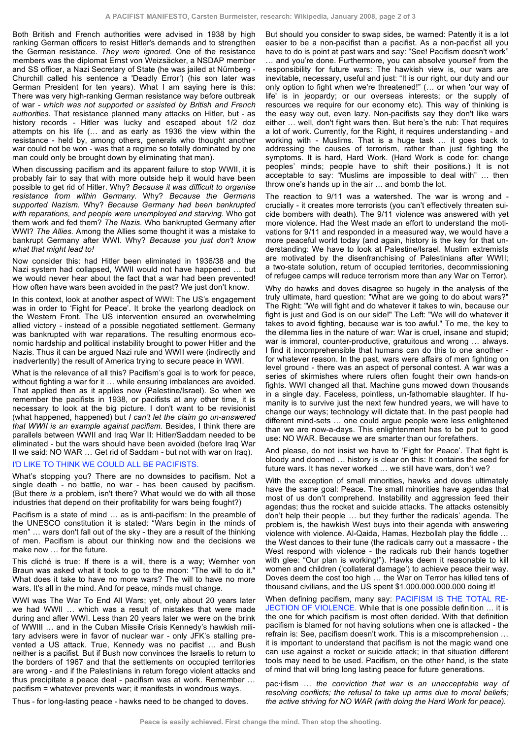Both British and French authorities were advised in 1938 by high ranking German officers to resist Hitler's demands and to strengthen the German resistance. *They were ignored.* One of the resistance members was the diplomat Ernst von Weizsäcker, a NSDAP member and SS officer, a Nazi Secretary of State (he was jailed at Nürnberg - Churchill called his sentence a 'Deadly Error') (his son later was German President for ten years). What I am saying here is this: There was very high-ranking German resistance way before outbreak of war *- which was not supported or assisted by British and French authorities.* That resistance planned many attacks on Hitler, but - as history records - Hitler was lucky and escaped about 1/2 doz attempts on his life (… and as early as 1936 the view within the resistance - held by, among others, generals who thought another war could not be won - was that a regime so totally dominated by one man could only be brought down by eliminating that man).

When discussing pacifism and its apparent failure to stop WWII, it is probably fair to say that with more outside help it would have been possible to get rid of Hitler. Why? *Because it was difficult to organise resistance from within Germany.* Why? *Because the Germans supported Nazism.* Why? *Because Germany had been bankrupted with reparations, and people were unemployed and starving.* Who got them work and fed them? *The Nazis.* Who bankrupted Germany after WWI? *The Allies.* Among the Allies some thought it was a mistake to bankrupt Germany after WWI. Why? *Because you just don't know what that might lead to!*

Now consider this: had Hitler been eliminated in 1936/38 and the Nazi system had collapsed, WWII would not have happened … but we would never hear about the fact that a war had been prevented! How often have wars been avoided in the past? We just don't know.

In this context, look at another aspect of WWI: The US's engagement was in order to 'Fight for Peace'. It broke the yearlong deadlock on the Western Front. The US intervention ensured an overwhelming allied victory - instead of a possible negotiated settlement. Germany was bankrupted with war reparations. The resulting enormous economic hardship and political instability brought to power Hitler and the Nazis. Thus it can be argued Nazi rule and WWII were (indirectly and inadvertently) the result of America trying to secure peace in WWI.

What is the relevance of all this? Pacifism's goal is to work for peace, without fighting a war for it ... while ensuring imbalances are avoided. That applied then as it applies now (Palestine/Israel). So when we remember the pacifists in 1938, or pacifists at any other time, it is necessary to look at the big picture. I don't want to be revisionist (what happened, happened) but *I can't let the claim go un-answered that WWII is an example against pacifism.* Besides, I think there are parallels between WWII and Iraq War II: Hitler/Saddam needed to be eliminated - but the wars should have been avoided (before Iraq War II we said: NO WAR … Get rid of Saddam - but not with war on Iraq).

## I'D LIKE TO THINK WE COULD ALL BE PACIFISTS.

What's stopping you? There are no downsides to pacifism. Not a single death - no battle, no war - has been caused by pacifism. (But there *is* a problem, isn't there? What would we do with all those industries that depend on their profitability for wars being fought?)

Pacifism is a state of mind … as is anti-pacifism: In the preamble of the UNESCO constitution it is stated: "Wars begin in the minds of men" … wars don't fall out of the sky - they are a result of the thinking of men. Pacifism is about our thinking now and the decisions we make now … for the future.

This cliché is true: If there is a will, there is a way; Wernher von Braun was asked what it took to go to the moon: "The will to do it." What does it take to have no more wars? The will to have no more wars. It's all in the mind. And for peace, minds must change.

WWI was The War To End All Wars; yet, only about 20 years later we had WWII … which was a result of mistakes that were made during and after WWI. Less than 20 years later we were on the brink of WWIII … and in the Cuban Missile Crisis Kennedy's hawkish military advisers were in favor of nuclear war - only JFK's stalling prevented a US attack. True, Kennedy was no pacifist … and Bush neither is a pacifist. But if Bush now convinces the Israelis to return to the borders of 1967 and that the settlements on occupied territories are wrong - and if the Palestinians in return forego violent attacks and thus precipitate a peace deal - pacifism was at work. Remember … pacifism = whatever prevents war; it manifests in wondrous ways.

But should you consider to swap sides, be warned: Patently it is a lot easier to be a non-pacifist than a pacifist. As a non-pacifist all you have to do is point at past wars and say: "See! Pacifism doesn't work" … and you're done. Furthermore, you can absolve yourself from the responsibility for future wars: The hawkish view is, our wars are inevitable, necessary, useful and just: "It is our right, our duty and our only option to fight when we're threatened!" (… or when 'our way of life' is in jeopardy; or our overseas interests; or the supply of resources we require for our economy etc). This way of thinking is the easy way out, even lazy. Non-pacifists say they don't like wars either … well, don't fight wars then. But here's the rub: That requires a lot of work. Currently, for the Right, it requires understanding - and working with - Muslims. That is a huge task … it goes back to addressing the causes of terrorism, rather than just fighting the symptoms. It is hard, Hard Work. (Hard Work is code for: change peoples' minds; people have to shift their positions.) It is not acceptable to say: "Muslims are impossible to deal with" … then throw one's hands up in the air … and bomb the lot.

The reaction to 9/11 was a watershed. The war is wrong and crucially - it creates more terrorists (you can't effectively threaten suicide bombers with death). The 9/11 violence was answered with yet more violence. Had the West made an effort to understand the motivations for 9/11 and responded in a measured way, we would have a more peaceful world today (and again, history is the key for that understanding: We have to look at Palestine/Israel. Muslim extremists are motivated by the disenfranchising of Palestinians after WWII; a two-state solution, return of occupied territories, decommissioning of refugee camps will reduce terrorism more than any War on Terror).

Why do hawks and doves disagree so hugely in the analysis of the truly ultimate, hard question: "What are we going to do about wars?" The Right: "We will fight and do whatever it takes to win, because our fight is just and God is on our side!" The Left: "We will do whatever it takes to avoid fighting, because war is too awful." To me, the key to the dilemma lies in the nature of war: War is cruel, insane and stupid; war is immoral, counter-productive, gratuitous and wrong … always. I find it incomprehensible that humans can do this to one another for whatever reason. In the past, wars were affairs of men fighting on level ground - there was an aspect of personal contest. A war was a series of skirmishes where rulers often fought their own hands-on fights. WWI changed all that. Machine guns mowed down thousands in a single day. Faceless, pointless, un-fathomable slaughter. If humanity is to survive just the next few hundred years, we will have to change our ways; technology will dictate that. In the past people had different mind-sets … one could argue people were less enlightened than we are now-a-days. This enlightenment has to be put to good use: NO WAR. Because we are smarter than our forefathers.

And please, do not insist we have to 'Fight for Peace'. That fight is bloody and doomed … history is clear on this: It contains the seed for future wars. It has never worked … we still have wars, don't we?

With the exception of small minorities, hawks and doves ultimately have the same goal: Peace. The small minorities have agendas that most of us don't comprehend. Instability and aggression feed their agendas; thus the rocket and suicide attacks. The attacks ostensibly don't help their people … but they further the radicals' agenda. The problem is, the hawkish West buys into their agenda with answering violence with violence. Al-Qaida, Hamas, Hezbollah play the fiddle … the West dances to their tune (the radicals carry out a massacre - the West respond with violence - the radicals rub their hands together with glee: "Our plan is working!"). Hawks deem it reasonable to kill women and children ('collateral damage') to achieve peace their way. Doves deem the cost too high … the War on Terror has killed tens of thousand civilians, and the US spent \$1.000.000.000.000 doing it!

When defining pacifism, many say: PACIFISM IS THE TOTAL RE-JECTION OF VIOLENCE. While that is one possible definition … it is the one for which pacifism is most often derided. With that definition pacifism is blamed for not having solutions when one is attacked - the refrain is: See, pacifism doesn't work. This is a miscomprehension … it is important to understand that pacifism is not the magic wand one can use against a rocket or suicide attack; in that situation different tools may need to be used. Pacifism, on the other hand, is the state of mind that will bring long lasting peace for future generations.

pac·i·fism … *the conviction that war is an unacceptable way of resolving conflicts; the refusal to take up arms due to moral beliefs; the active striving for NO WAR (with doing the Hard Work for peace).*

Thus - for long-lasting peace - hawks need to be changed to doves.